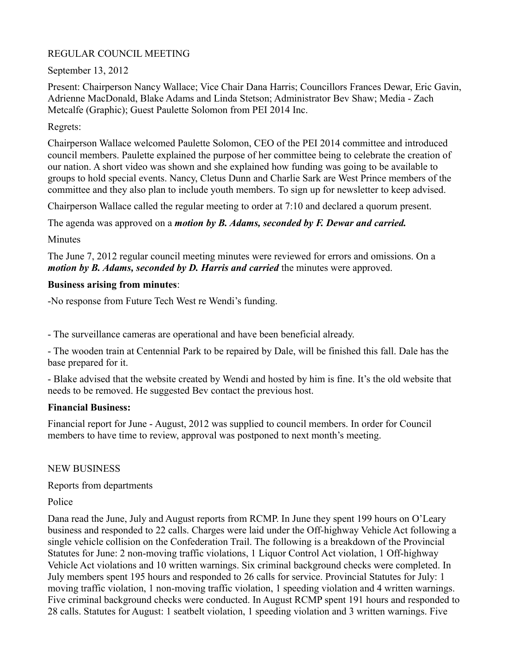## REGULAR COUNCIL MEETING

# September 13, 2012

Present: Chairperson Nancy Wallace; Vice Chair Dana Harris; Councillors Frances Dewar, Eric Gavin, Adrienne MacDonald, Blake Adams and Linda Stetson; Administrator Bev Shaw; Media - Zach Metcalfe (Graphic); Guest Paulette Solomon from PEI 2014 Inc.

## Regrets:

Chairperson Wallace welcomed Paulette Solomon, CEO of the PEI 2014 committee and introduced council members. Paulette explained the purpose of her committee being to celebrate the creation of our nation. A short video was shown and she explained how funding was going to be available to groups to hold special events. Nancy, Cletus Dunn and Charlie Sark are West Prince members of the committee and they also plan to include youth members. To sign up for newsletter to keep advised.

Chairperson Wallace called the regular meeting to order at 7:10 and declared a quorum present.

The agenda was approved on a *motion by B. Adams, seconded by F. Dewar and carried.*

Minutes

The June 7, 2012 regular council meeting minutes were reviewed for errors and omissions. On a *motion by B. Adams, seconded by D. Harris and carried* the minutes were approved.

#### **Business arising from minutes**:

-No response from Future Tech West re Wendi's funding.

- The surveillance cameras are operational and have been beneficial already.

- The wooden train at Centennial Park to be repaired by Dale, will be finished this fall. Dale has the base prepared for it.

- Blake advised that the website created by Wendi and hosted by him is fine. It's the old website that needs to be removed. He suggested Bev contact the previous host.

#### **Financial Business:**

Financial report for June - August, 2012 was supplied to council members. In order for Council members to have time to review, approval was postponed to next month's meeting.

#### NEW BUSINESS

Reports from departments

#### Police

Dana read the June, July and August reports from RCMP. In June they spent 199 hours on O'Leary business and responded to 22 calls. Charges were laid under the Off-highway Vehicle Act following a single vehicle collision on the Confederation Trail. The following is a breakdown of the Provincial Statutes for June: 2 non-moving traffic violations, 1 Liquor Control Act violation, 1 Off-highway Vehicle Act violations and 10 written warnings. Six criminal background checks were completed. In July members spent 195 hours and responded to 26 calls for service. Provincial Statutes for July: 1 moving traffic violation, 1 non-moving traffic violation, 1 speeding violation and 4 written warnings. Five criminal background checks were conducted. In August RCMP spent 191 hours and responded to 28 calls. Statutes for August: 1 seatbelt violation, 1 speeding violation and 3 written warnings. Five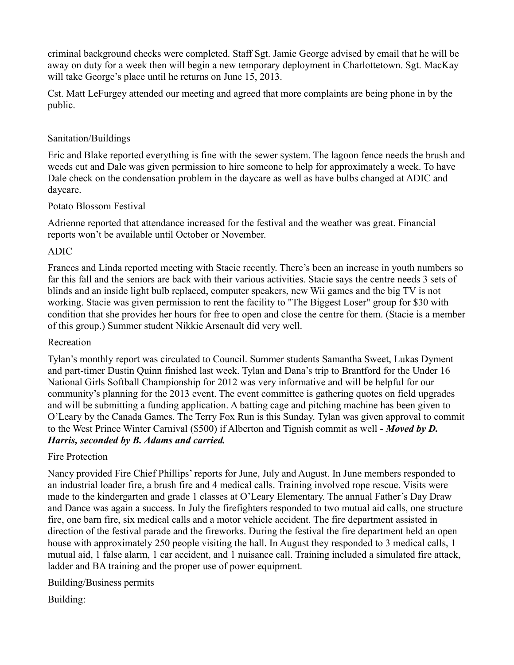criminal background checks were completed. Staff Sgt. Jamie George advised by email that he will be away on duty for a week then will begin a new temporary deployment in Charlottetown. Sgt. MacKay will take George's place until he returns on June 15, 2013.

Cst. Matt LeFurgey attended our meeting and agreed that more complaints are being phone in by the public.

# Sanitation/Buildings

Eric and Blake reported everything is fine with the sewer system. The lagoon fence needs the brush and weeds cut and Dale was given permission to hire someone to help for approximately a week. To have Dale check on the condensation problem in the daycare as well as have bulbs changed at ADIC and daycare.

#### Potato Blossom Festival

Adrienne reported that attendance increased for the festival and the weather was great. Financial reports won't be available until October or November.

#### ADIC

Frances and Linda reported meeting with Stacie recently. There's been an increase in youth numbers so far this fall and the seniors are back with their various activities. Stacie says the centre needs 3 sets of blinds and an inside light bulb replaced, computer speakers, new Wii games and the big TV is not working. Stacie was given permission to rent the facility to "The Biggest Loser" group for \$30 with condition that she provides her hours for free to open and close the centre for them. (Stacie is a member of this group.) Summer student Nikkie Arsenault did very well.

#### Recreation

Tylan's monthly report was circulated to Council. Summer students Samantha Sweet, Lukas Dyment and part-timer Dustin Quinn finished last week. Tylan and Dana's trip to Brantford for the Under 16 National Girls Softball Championship for 2012 was very informative and will be helpful for our community's planning for the 2013 event. The event committee is gathering quotes on field upgrades and will be submitting a funding application. A batting cage and pitching machine has been given to O'Leary by the Canada Games. The Terry Fox Run is this Sunday. Tylan was given approval to commit to the West Prince Winter Carnival (\$500) if Alberton and Tignish commit as well - *Moved by D. Harris, seconded by B. Adams and carried.*

#### Fire Protection

Nancy provided Fire Chief Phillips' reports for June, July and August. In June members responded to an industrial loader fire, a brush fire and 4 medical calls. Training involved rope rescue. Visits were made to the kindergarten and grade 1 classes at O'Leary Elementary. The annual Father's Day Draw and Dance was again a success. In July the firefighters responded to two mutual aid calls, one structure fire, one barn fire, six medical calls and a motor vehicle accident. The fire department assisted in direction of the festival parade and the fireworks. During the festival the fire department held an open house with approximately 250 people visiting the hall. In August they responded to 3 medical calls, 1 mutual aid, 1 false alarm, 1 car accident, and 1 nuisance call. Training included a simulated fire attack, ladder and BA training and the proper use of power equipment.

#### Building/Business permits

Building: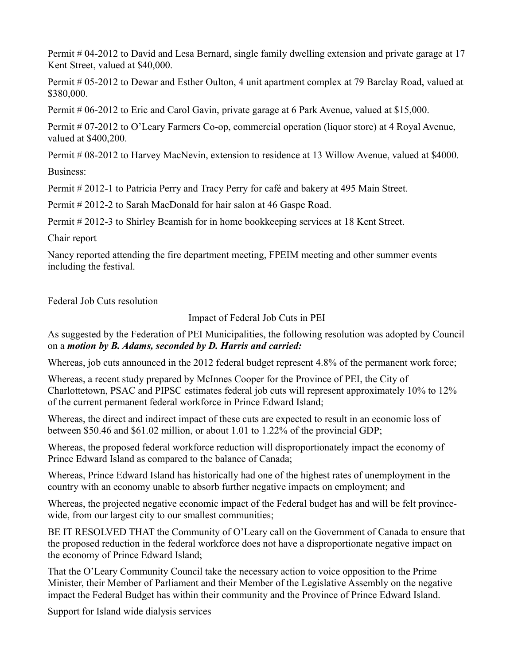Permit # 04-2012 to David and Lesa Bernard, single family dwelling extension and private garage at 17 Kent Street, valued at \$40,000.

Permit # 05-2012 to Dewar and Esther Oulton, 4 unit apartment complex at 79 Barclay Road, valued at \$380,000.

Permit # 06-2012 to Eric and Carol Gavin, private garage at 6 Park Avenue, valued at \$15,000.

Permit # 07-2012 to O'Leary Farmers Co-op, commercial operation (liquor store) at 4 Royal Avenue, valued at \$400,200.

Permit # 08-2012 to Harvey MacNevin, extension to residence at 13 Willow Avenue, valued at \$4000.

Business:

Permit # 2012-1 to Patricia Perry and Tracy Perry for café and bakery at 495 Main Street.

Permit # 2012-2 to Sarah MacDonald for hair salon at 46 Gaspe Road.

Permit # 2012-3 to Shirley Beamish for in home bookkeeping services at 18 Kent Street.

Chair report

Nancy reported attending the fire department meeting, FPEIM meeting and other summer events including the festival.

Federal Job Cuts resolution

Impact of Federal Job Cuts in PEI

As suggested by the Federation of PEI Municipalities, the following resolution was adopted by Council on a *motion by B. Adams, seconded by D. Harris and carried:*

Whereas, job cuts announced in the 2012 federal budget represent 4.8% of the permanent work force;

Whereas, a recent study prepared by McInnes Cooper for the Province of PEI, the City of Charlottetown, PSAC and PIPSC estimates federal job cuts will represent approximately 10% to 12% of the current permanent federal workforce in Prince Edward Island;

Whereas, the direct and indirect impact of these cuts are expected to result in an economic loss of between \$50.46 and \$61.02 million, or about 1.01 to 1.22% of the provincial GDP;

Whereas, the proposed federal workforce reduction will disproportionately impact the economy of Prince Edward Island as compared to the balance of Canada;

Whereas, Prince Edward Island has historically had one of the highest rates of unemployment in the country with an economy unable to absorb further negative impacts on employment; and

Whereas, the projected negative economic impact of the Federal budget has and will be felt provincewide, from our largest city to our smallest communities;

BE IT RESOLVED THAT the Community of O'Leary call on the Government of Canada to ensure that the proposed reduction in the federal workforce does not have a disproportionate negative impact on the economy of Prince Edward Island;

That the O'Leary Community Council take the necessary action to voice opposition to the Prime Minister, their Member of Parliament and their Member of the Legislative Assembly on the negative impact the Federal Budget has within their community and the Province of Prince Edward Island.

Support for Island wide dialysis services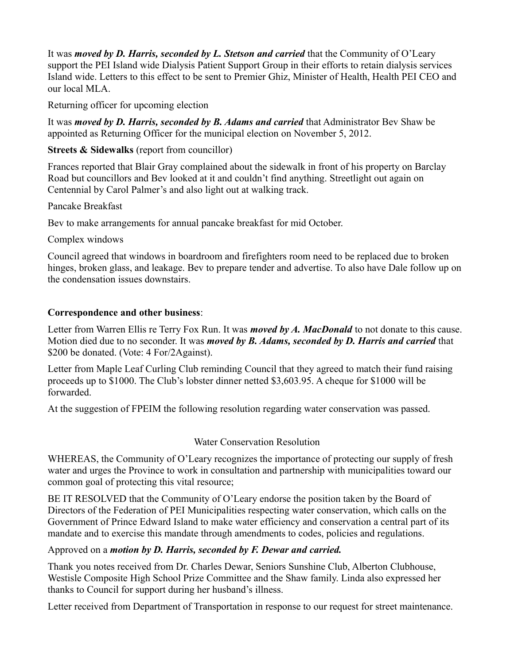It was *moved by D. Harris, seconded by L. Stetson and carried* that the Community of O'Leary support the PEI Island wide Dialysis Patient Support Group in their efforts to retain dialysis services Island wide. Letters to this effect to be sent to Premier Ghiz, Minister of Health, Health PEI CEO and our local MLA.

Returning officer for upcoming election

It was *moved by D. Harris, seconded by B. Adams and carried* that Administrator Bev Shaw be appointed as Returning Officer for the municipal election on November 5, 2012.

## **Streets & Sidewalks** (report from councillor)

Frances reported that Blair Gray complained about the sidewalk in front of his property on Barclay Road but councillors and Bev looked at it and couldn't find anything. Streetlight out again on Centennial by Carol Palmer's and also light out at walking track.

#### Pancake Breakfast

Bev to make arrangements for annual pancake breakfast for mid October.

Complex windows

Council agreed that windows in boardroom and firefighters room need to be replaced due to broken hinges, broken glass, and leakage. Bev to prepare tender and advertise. To also have Dale follow up on the condensation issues downstairs.

# **Correspondence and other business**:

Letter from Warren Ellis re Terry Fox Run. It was *moved by A. MacDonald* to not donate to this cause. Motion died due to no seconder. It was *moved by B. Adams, seconded by D. Harris and carried* that \$200 be donated. (Vote: 4 For/2Against).

Letter from Maple Leaf Curling Club reminding Council that they agreed to match their fund raising proceeds up to \$1000. The Club's lobster dinner netted \$3,603.95. A cheque for \$1000 will be forwarded.

At the suggestion of FPEIM the following resolution regarding water conservation was passed.

#### Water Conservation Resolution

WHEREAS, the Community of O'Leary recognizes the importance of protecting our supply of fresh water and urges the Province to work in consultation and partnership with municipalities toward our common goal of protecting this vital resource;

BE IT RESOLVED that the Community of O'Leary endorse the position taken by the Board of Directors of the Federation of PEI Municipalities respecting water conservation, which calls on the Government of Prince Edward Island to make water efficiency and conservation a central part of its mandate and to exercise this mandate through amendments to codes, policies and regulations.

# Approved on a *motion by D. Harris, seconded by F. Dewar and carried.*

Thank you notes received from Dr. Charles Dewar, Seniors Sunshine Club, Alberton Clubhouse, Westisle Composite High School Prize Committee and the Shaw family. Linda also expressed her thanks to Council for support during her husband's illness.

Letter received from Department of Transportation in response to our request for street maintenance.